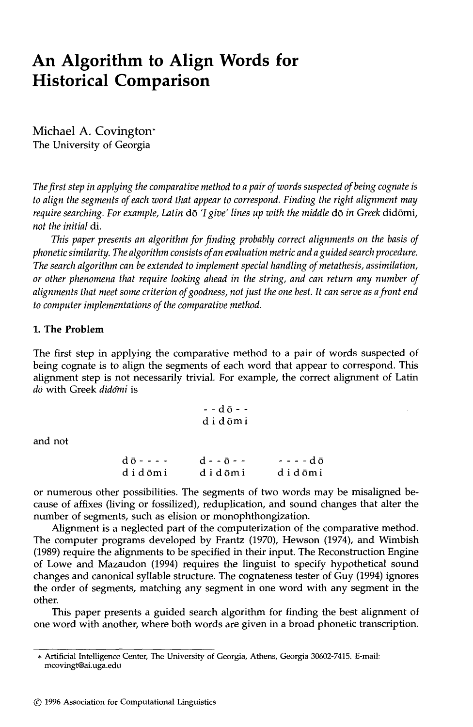# **An Algorithm to Align Words for Historical Comparison**

Michael A. Covington\* The University of Georgia

*The first step in applying the comparative method to a pair of words suspected of being cognate is to align the segments of each word that appear to correspond. Finding the right alignment may require searching. For example, Latin dō 'I give' lines up with the middle dō in Greek didōmi, not the initial* di.

*This paper presents an algorithm for finding probably correct alignments on the basis of phonetic similarity. The algorithm consists of an evaluation metric and a guided search procedure. The search algorithm can be extended to implement special handling of metathesis, assimilation, or other phenomena that require looking ahead in the string, and can return any number of alignments that meet some criterion of goodness, not just the one best. It can serve as a front end to computer implementations of the comparative method.* 

### **1. The Problem**

The first step in applying the comparative method to a pair of words suspected of being cognate is to align the segments of each word that appear to correspond. This alignment step is not necessarily trivial. For example, the correct alignment of Latin do with Greek didomi is

$$
\begin{array}{c}\n - & d\,\bar{o} - \\
 d\,\, i\,\, d\,\bar{o}m\,i\n\end{array}
$$

and not

| $d\bar{0}$ - - - - | $d - - 0 - -$ | $- - - d \bar{o}$ |
|--------------------|---------------|-------------------|
| didōmi             | didōmi        | didōmi            |

or numerous other possibilities. The segments of two words may be misaligned because of affixes (living or fossilized), reduplication, and sound changes that alter the number of segments, such as elision or monophthongization.

Alignment is a neglected part of the computerization of the comparative method. The computer programs developed by Frantz (1970), Hewson (1974), and Wimbish (1989) require the alignments to be specified in their input. The Reconstruction Engine of Lowe and Mazaudon (1994) requires the linguist to specify hypothetical sound changes and canonical syllable structure. The cognateness tester of Guy (1994) ignores the order of segments, matching any segment in one word with any segment in the other.

This paper presents a guided search algorithm for finding the best alignment of one word with another, where both words are given in a broad phonetic transcription.

<sup>\*</sup> Artificial Intelligence Center, The University of Georgia, Athens, Georgia 30602-7415. E-mail: mcovingt@ai.uga.edu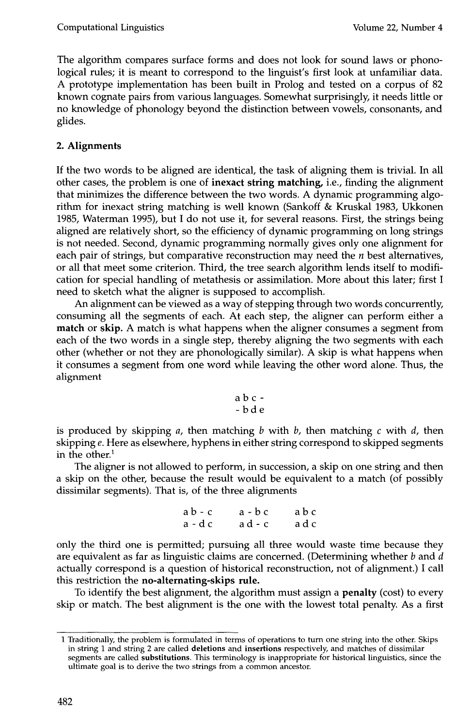The algorithm compares surface forms and does not look for sound laws or phonological rules; it is meant to correspond to the linguist's first look at unfamiliar data. A prototype implementation has been built in Prolog and tested on a corpus of 82 known cognate pairs from various languages. Somewhat surprisingly, it needs little or no knowledge of phonology beyond the distinction between vowels, consonants, and glides.

# **2. Alignments**

If the two words to be aligned are identical, the task of aligning them is trivial. In all other cases, the problem is one of inexact string matching, i.e., finding the alignment that minimizes the difference between the two words. A dynamic programming algorithm for inexact string matching is well known (Sankoff & Kruskal 1983, Ukkonen 1985, Waterman 1995), but I do not use it, for several reasons. First, the strings being aligned are relatively short, so the efficiency of dynamic programming on long strings is not needed. Second, dynamic programming normally gives only one alignment for each pair of strings, but comparative reconstruction may need the  $n$  best alternatives, or all that meet some criterion. Third, the tree search algorithm lends itself to modification for special handling of metathesis or assimilation. More about this later; first I need to sketch what the aligner is supposed to accomplish.

An alignment can be viewed as a way of stepping through two words concurrently, consuming all the segments of each. At each step, the aligner can perform either a match or skip. A match is what happens when the aligner consumes a segment from each of the two words in a single step, thereby aligning the two segments with each other (whether or not they are phonologically similar). A skip is what happens when it consumes a segment from one word while leaving the other word alone. Thus, the alignment

$$
\begin{array}{c} a\ b\ c\ -\ b\ d\ e \end{array}
$$

is produced by skipping a, then matching b with b, then matching c with d, then skipping e. Here as elsewhere, hyphens in either string correspond to skipped segments in the other. $<sup>1</sup>$ </sup>

The aligner is not allowed to perform, in succession, a skip on one string and then a skip on the other, because the result would be equivalent to a match (of possibly dissimilar segments). That is, of the three alignments

> ab-c a-bc abc a-dc ad-c adc

only the third one is permitted; pursuing all three would waste time because they are equivalent as far as linguistic claims are concerned. (Determining whether  $b$  and  $d$ actually correspond is a question of historical reconstruction, not of alignment.) I call this restriction the no-alternating-skips rule.

To identify the best alignment, the algorithm must assign a **penalty** (cost) to every skip or match. The best alignment is the one with the lowest total penalty. As a first

<sup>1</sup> Traditionally, the problem is formulated in terms of operations to turn one string into the other. Skips in string 1 and string 2 are called deletions and **insertions** respectively, and matches of dissimilar segments are called substitutions. This terminology is inappropriate for historical linguistics, since the ultimate goal is to derive the two strings from a common ancestor.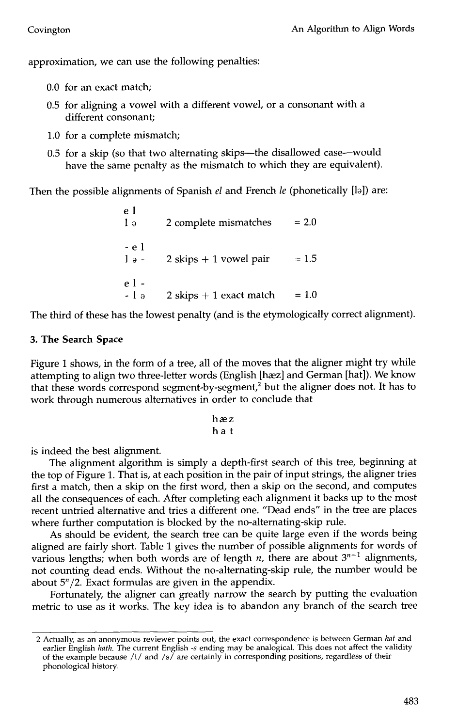approximation, we can use the following penalties:

- 0.0 for an exact match;
- 0.5 for aligning a vowel with a different vowel, or a consonant with a different consonant;
- 1.0 for a complete mismatch;
- 0.5 for a skip (so that two alternating skips--the disallowed case--would have the same penalty as the mismatch to which they are equivalent).

Then the possible alignments of Spanish *el* and French *le* (phonetically [lo]) are:

el  $1<sub>9</sub>$  2 complete mismatches  $= 2.0$ -el  $1<sub>0</sub> - 2$  skips + 1 vowel pair = 1.5 el-  $- 1$  o 2 skips  $+ 1$  exact match = 1.0

The third of these has the lowest penalty (and is the etymologically correct alignment).

#### **3. The Search Space**

Figure 1 shows, in the form of a tree, all of the moves that the aligner might try while attempting to align two three-letter words (English [hæz] and German [hat]). We know that these words correspond segment-by-segment,<sup>2</sup> but the aligner does not. It has to work through numerous alternatives in order to conclude that

$$
\begin{array}{c}\nh \approx z \\
h \text{a t}\n\end{array}
$$

is indeed the best alignment.

The alignment algorithm is simply a depth-first search of this tree, beginning at the top of Figure 1. That is, at each position in the pair of input strings, the aligner tries first a match, then a skip on the first word, then a skip on the second, and computes all the consequences of each. After completing each alignment it backs up to the most recent untried alternative and tries a different one. "Dead ends" in the tree are places where further computation is blocked by the no-alternating-skip rule.

As should be evident, the search tree can be quite large even if the words being aligned are fairly short. Table 1 gives the number of possible alignments for words of various lengths; when both words are of length *n*, there are about  $3^{n-1}$  alignments, not counting dead ends. Without the no-alternating-skip rule, the number would be about  $5<sup>n</sup>/2$ . Exact formulas are given in the appendix.

Fortunately, the aligner can greatly narrow the search by putting the evaluation metric to use as it works. The key idea is to abandon any branch of the search tree

<sup>2</sup> Actually, as an anonymous reviewer points out, the exact correspondence is between German *hat* and earlier English *hath. The* current English -s ending may be analogical. This does not affect the validity of the example because /t/ and /s/are certainly in corresponding positions, regardless of their phonological history.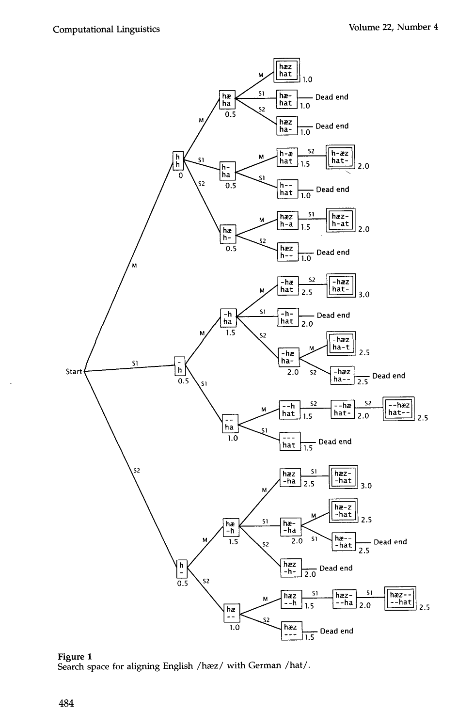

**Figure 1**  Search space for aligning English /hæz/ with German /hat/.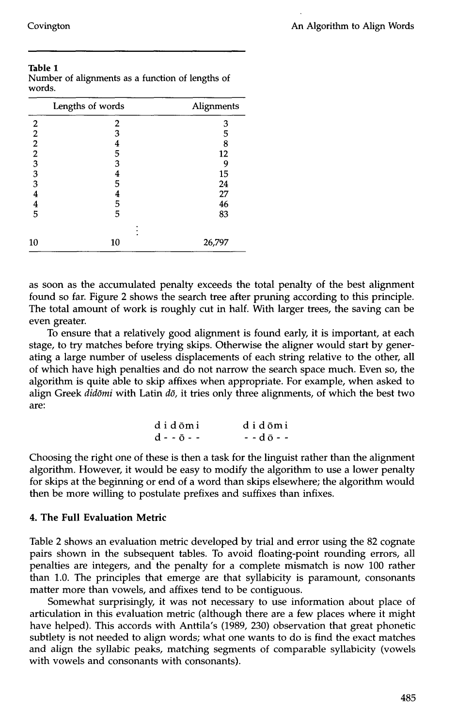|                                            | Lengths of words | Alignments      |
|--------------------------------------------|------------------|-----------------|
| 2                                          | 2                | 3               |
| $\overline{c}$                             | 3                | 5               |
| $\overline{\mathbf{c}}$                    | 4                | 8               |
| $\overline{2}$                             | 5                | 12              |
|                                            | 3                | 9               |
| $\begin{array}{c} 3 \\ 3 \\ 3 \end{array}$ | 4                | 15              |
|                                            | 5                | 24              |
| $\overline{\mathbf{4}}$                    | 4                | 27              |
| $\overline{\mathbf{4}}$                    | 5                | $\overline{46}$ |
| $\overline{5}$                             | 5                | 83              |
|                                            |                  |                 |
| 10                                         | 10               | 26,797          |

| Table 1 |                                                  |  |  |  |
|---------|--------------------------------------------------|--|--|--|
|         | Number of alignments as a function of lengths of |  |  |  |
| words.  |                                                  |  |  |  |

as soon as the accumulated penalty exceeds the total penalty of the best alignment found so far. Figure 2 shows the search tree after pruning according to this principle. The total amount of work is roughly cut in half. With larger trees, the saving can be even greater.

To ensure that a relatively good alignment is found early, it is important, at each stage, to try matches before trying skips. Otherwise the aligner would start by generating a large number of useless displacements of each string relative to the other, **all**  of which have high penalties and do not narrow the search space much. Even so, the algorithm is quite able to skip affixes when appropriate. For example, when asked to align Greek *didomi* with Latin *do*, it tries only three alignments, of which the best two are:

| didōmi      | didōmi              |
|-------------|---------------------|
| d - - ō - - | $- - d \bar{0} - -$ |

Choosing the right one of these is then a task for the linguist rather than the alignment algorithm. However, it would be easy to modify the algorithm to use a lower penalty for skips at the beginning or end of a word than skips elsewhere; the algorithm would then be more willing to postulate prefixes and suffixes than infixes.

#### **4. The Full Evaluation Metric**

Table 2 shows an evaluation metric developed by trial and error using the 82 cognate pairs shown in the subsequent tables. To avoid floating-point rounding errors, all penalties are integers, and the penalty for a complete mismatch is now 100 rather than 1.0. The principles that emerge are that syllabicity is paramount, consonants matter more than vowels, and affixes tend to be contiguous.

Somewhat surprisingly, it was not necessary to use information about place of articulation in this evaluation metric (although there are a few places where it might have helped). This accords with Anttila's (1989, 230) observation that great phonetic subtlety is not needed to align words; what one wants to do is find the exact matches and align the syllabic peaks, matching segments of comparable syllabicity (vowels with vowels and consonants with consonants).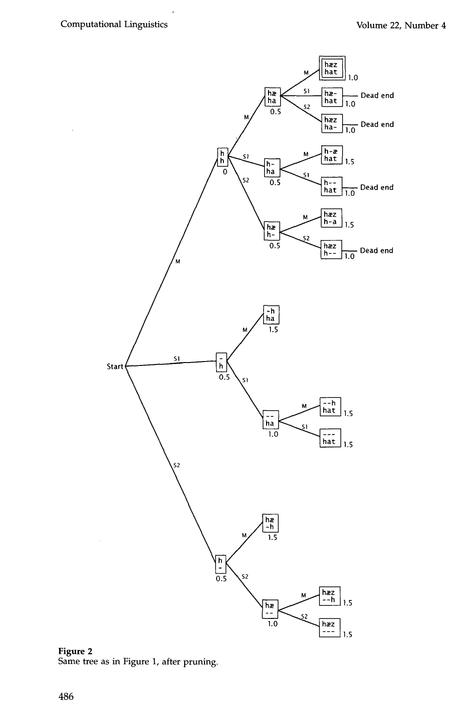$\ddot{\phantom{a}}$ 



**Figure 2**  Same tree as in Figure 1, after pruning.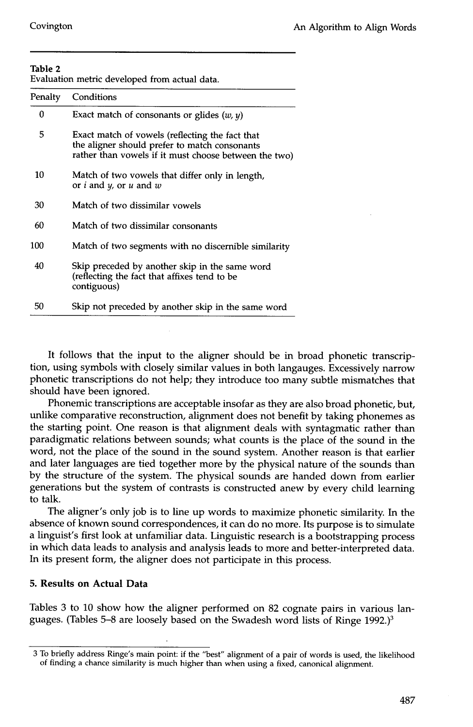| Evaluation metric developed from actual data. |  |  |  |  |
|-----------------------------------------------|--|--|--|--|
|-----------------------------------------------|--|--|--|--|

| Penalty | Conditions                                                                                                                                                |
|---------|-----------------------------------------------------------------------------------------------------------------------------------------------------------|
| 0       | Exact match of consonants or glides $(w, y)$                                                                                                              |
| 5       | Exact match of vowels (reflecting the fact that<br>the aligner should prefer to match consonants<br>rather than vowels if it must choose between the two) |
| 10      | Match of two vowels that differ only in length,<br>or $i$ and $y$ , or $u$ and $w$                                                                        |
| 30      | Match of two dissimilar vowels                                                                                                                            |
| 60      | Match of two dissimilar consonants                                                                                                                        |
| 100     | Match of two segments with no discernible similarity                                                                                                      |
| 40      | Skip preceded by another skip in the same word<br>(reflecting the fact that affixes tend to be<br>contiguous)                                             |
| 50      | Skip not preceded by another skip in the same word                                                                                                        |

It follows that the input to the aligner should be in broad phonetic transcription, using symbols with closely similar values in both langauges. Excessively narrow phonetic transcriptions do not help; they introduce too many subtle mismatches that should have been ignored.

Phonemic transcriptions are acceptable insofar as they are also broad phonetic, but, unlike comparative reconstruction, alignment does not benefit by taking phonemes as the starting point. One reason is that alignment deals with syntagmatic rather than paradigmatic relations between sounds; what counts is the place of the sound in the word, not the place of the sound in the sound system. Another reason is that earlier and later languages are tied together more by the physical nature of the sounds than by the structure of the system. The physical sounds are handed down from earlier generations but the system of contrasts is constructed anew by every child learning to talk.

The aligner's only job is to line up words to maximize phonetic similarity. In the absence of known sound correspondences, it can do no more. Its purpose is to simulate a linguist's first look at unfamiliar data. Linguistic research is a bootstrapping process in which data leads to analysis and analysis leads to more and better-interpreted data. In its present form, the aligner does not participate in this process.

# **5. Results on Actual Data**

Tables 3 to 10 show how the aligner performed on 82 cognate pairs in various languages. (Tables 5-8 are loosely based on the Swadesh word lists of Ringe 1992.)<sup>3</sup>

<sup>3</sup> To briefly address Ringe's main point: if the "best" alignment of a pair of words is used, the likelihood of finding a chance similarity is much higher than when using a fixed, canonical alignment.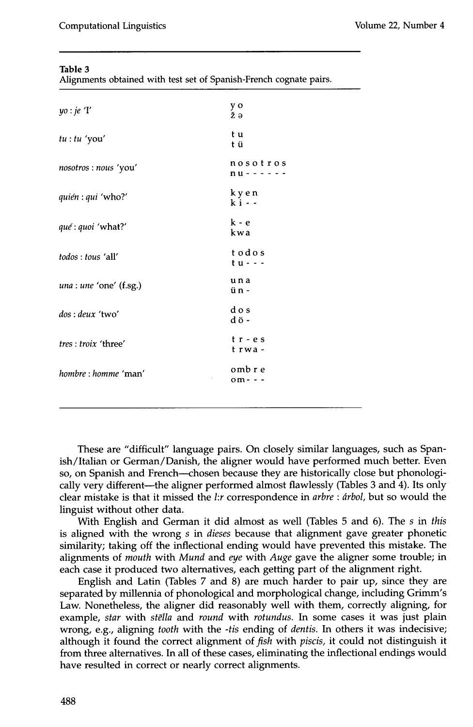| Alignments obtained with test set of Spanish-French cognate pairs. |  |  |  |
|--------------------------------------------------------------------|--|--|--|

| yo : je 'I'             | y o<br>žэ                  |
|-------------------------|----------------------------|
| tu: tu' you'            | t u<br>t ü                 |
| nosotros : nous 'you'   | nosotros<br>$nu - - - -$   |
| quién : qui 'who?'      | kyen<br>$\mathbf{k}$ i - - |
| qué : quoi 'what?'      | $k - e$<br>kwa             |
| todos : tous 'all'      | todos<br>t u - - -         |
| una : une 'one' (f.sg.) | una<br>ün -                |
| dos: deux 'two'         | dos<br>dö-                 |
| tres: troix 'three'     | $tr - es$<br>t rwa -       |
| hombre : homme 'man'    | omb r e<br>$om - -$        |
|                         |                            |

These are "difficult" language pairs. On closely similar languages, such as Spanish/Italian or German/Danish, the aligner would have performed much better. Even so, on Spanish and French---chosen because they are historically close but phonologically very different---the aligner performed almost flawlessly (Tables 3 and 4). Its only clear mistake is that it missed the *hr* correspondence in *arbre : drbol,* but so would the linguist without other data.

With English and German it did almost as well (Tables 5 and 6). The *s in this*  is aligned with the wrong *s in dieses* because that alignment gave greater phonetic similarity; taking off the inflectional ending would have prevented this mistake. The alignments of *mouth* with *Mund* and eye with *Auge* gave the aligner some trouble; in each case it produced two alternatives, each getting part of the alignment right.

English and Latin (Tables 7 and 8) are much harder to pair up, since they are separated by millennia of phonological and morphological change, including Grimm's Law. Nonetheless, the aligner did reasonably well with them, correctly aligning, for example, *star* with *stglla* and *round* with *rotundus.* In some cases it was just plain wrong, e.g., aligning *tooth* with the *-tis* ending of *dentis.* In others it was indecisive; although it found the correct alignment of *fish* with *piscis,* it could not distinguish it from three alternatives. In all of these cases, eliminating the inflectional endings would have resulted in correct or nearly correct alignments.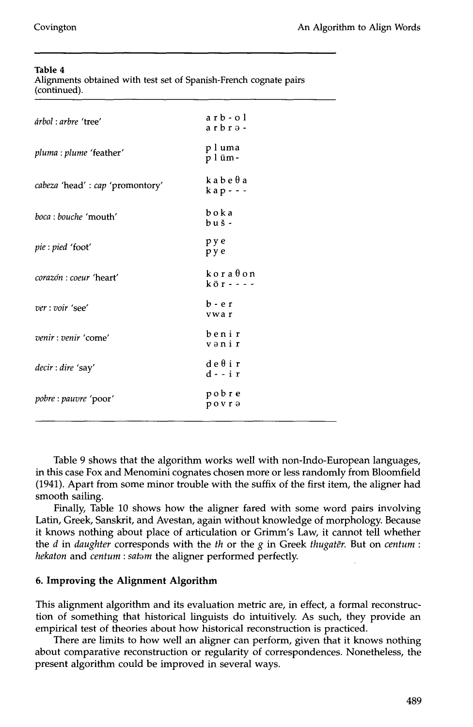Alignments obtained with test set of Spanish-French cognate pairs (continued).

| árbol : arbre 'tree'                           | $a$ rb - o l<br>$a$ rbrə-           |
|------------------------------------------------|-------------------------------------|
| <i>pluma</i> : <i>plume</i> 'feather'          | pluma<br>plüm-                      |
| <i>cabeza</i> 'head' : <i>cap</i> 'promontory' | $k$ abe $\theta$ a<br>$k$ a p - - - |
| boca: bouche 'mouth'                           | boka<br>$b u \simeq$                |
| <i>pie</i> : <i>pied</i> 'foot'                | pye<br>pye                          |
| <i>corazón : coeur 'heart'</i>                 | $k$ or a $\theta$ on<br>kör - - - - |
| ver: voir 'see'                                | b-er<br>ywa r                       |
| venir : venir 'come'                           | benir<br>vənir                      |
| decir : dire 'say'                             | deθir<br>d - - i r                  |
| pobre : pauvre 'poor'                          | pobre<br>povra                      |

Table 9 shows that the algorithm works well with non-Indo-European languages, in this case Fox and Menomini cognates chosen more or less randomly from Bloomfield (1941). Apart from some minor trouble with the suffix of the first item, the aligner had smooth sailing.

Finally, Table 10 shows how the aligner fared with some word pairs involving Latin, Greek, Sanskrit, and Avestan, again without knowledge of morphology. Because it knows nothing about place of articulation or Grimm's Law, it cannot tell whether the *d* in daughter corresponds with the *th* or the *g* in Greek *thugater*. But on *centum* : *hekaton* and *centum : satom* the aligner performed perfectly.

#### **6. Improving the Alignment Algorithm**

This alignment algorithm and its evaluation metric are, in effect, a formal reconstruction of something that historical linguists do intuitively. As such, they provide an empirical test of theories about how historical reconstruction is practiced.

There are limits to how well an aligner can perform, given that it knows nothing about comparative reconstruction or regularity of correspondences. Nonetheless, the present algorithm could be improved in several ways.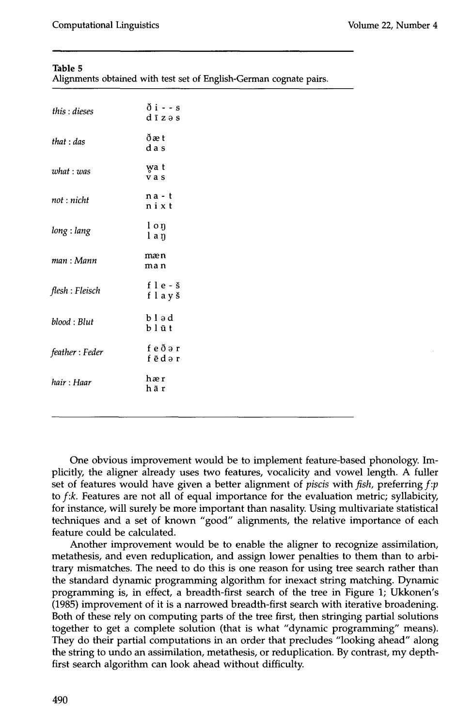Alignments obtained with test set of English-German cognate pairs.

| this : dieses   | $\delta$ i - - s<br>$d\bar{i} z \partial s$ |
|-----------------|---------------------------------------------|
| that : das      | ðæt<br>d a s                                |
| what: was       | wa t<br>vas                                 |
| not : nicht     | $na - t$<br>nixt                            |
| long : lang     | loŋ<br>laŋ                                  |
| man : Mann      | mæn<br>ma n                                 |
| flesh : Fleisch | f $l$ e - $\check{s}$<br>flayš              |
| blood: Blut     | $b \, 1 \, 9 \, d$<br>blūt                  |
| feather: Feder  | feðər<br>fēdər                              |
| hair: Haar      | hær<br>hār                                  |
|                 |                                             |

One obvious improvement would be to implement feature-based phonology. Implicitly, the aligner already uses two features, vocalicity and vowel length. A fuller set of features would have given a better alignment of *piscis* with *fish,* preferring *f:p*  to *f:k.* Features are not all of equal importance for the evaluation metric; syllabicity, for instance, will surely be more important than nasality. Using multivariate statistical techniques and a set of known "good" alignments, the relative importance of each feature could be calculated.

Another improvement would be to enable the aligner to recognize assimilation, metathesis, and even reduplication, and assign lower penalties to them than to arbitrary mismatches. The need to do this is one reason for using tree search rather than the standard dynamic programming algorithm for inexact string matching. Dynamic programming is, in effect, a breadth-first search of the tree in Figure 1; Ukkonen's (1985) improvement of it is a narrowed breadth-first search with iterative broadening. Both of these rely on computing parts of the tree first, then stringing partial solutions together to get a complete solution (that is what "dynamic programming" means). They do their partial computations in an order that precludes "looking ahead" along the string to undo an assimilation, metathesis, or reduplication. By contrast, my depthfirst search algorithm can look ahead without difficulty.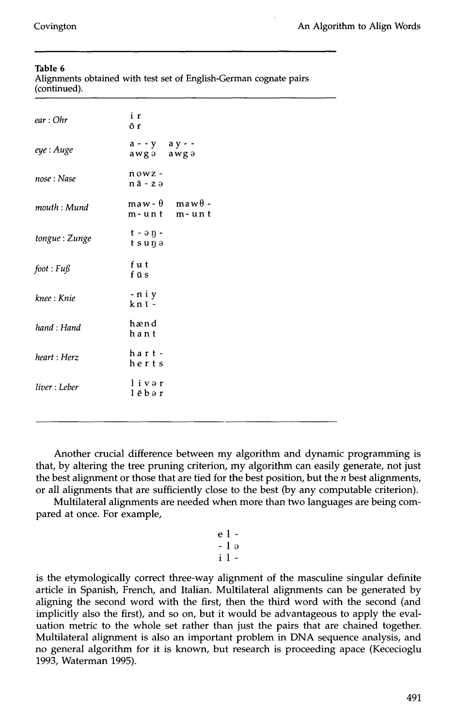|              |  |  | Alignments obtained with test set of English-German cognate pairs |  |
|--------------|--|--|-------------------------------------------------------------------|--|
| (continued). |  |  |                                                                   |  |

| ear:Ohr       | i r<br>ŌΓ                                     |  |
|---------------|-----------------------------------------------|--|
| eye : Auge    | $a - y$ ay --<br>awga awga                    |  |
| nose: Nase    | $nowz -$<br>$n\bar{a}$ - $z \partial$         |  |
| mouth : Mund  | $\max - \theta$ maw $\theta$ -<br>m-unt m-unt |  |
| tongue: Zunge | $t - \partial \eta$ -<br>tsuņə                |  |
| foot: Fuß     | f u t<br>fūs                                  |  |
| knee : Knie   | -niy<br>knī-                                  |  |
| hand: Hand    | hænd<br>hant                                  |  |
| heart: Herz   | hart -<br>herts                               |  |
| liver : Leber | livər<br>lēbər                                |  |
|               |                                               |  |

Another crucial difference between my algorithm and dynamic programming is that, by altering the tree pruning criterion, my algorithm can easily generate, not just the best alignment or those that are tied for the best position, but the  $n$  best alignments, or all alignments that are sufficiently close to the best (by any computable criterion).

Multilateral alignments are needed when more than two languages are being compared at once. For example,

$$
\begin{array}{c}\n\text{e} \\
\text{-} \\
\text{-} \\
\text{1} \\
\text{i} \\
\end{array}
$$

is the etymologically correct three-way alignment of the masculine singular definite article in Spanish, French, and Italian. Multilateral alignments can be generated by aligning the second word with the first, then the third word with the second (and implicitly also the first), and so on, but it would be advantageous to apply the evaluation metric to the whole set rather than just the pairs that are chained together. Multilateral alignment is also an important problem in DNA sequence analysis, and no general algorithm for it is known, but research is proceeding apace (Kececioglu 1993, Waterman 1995).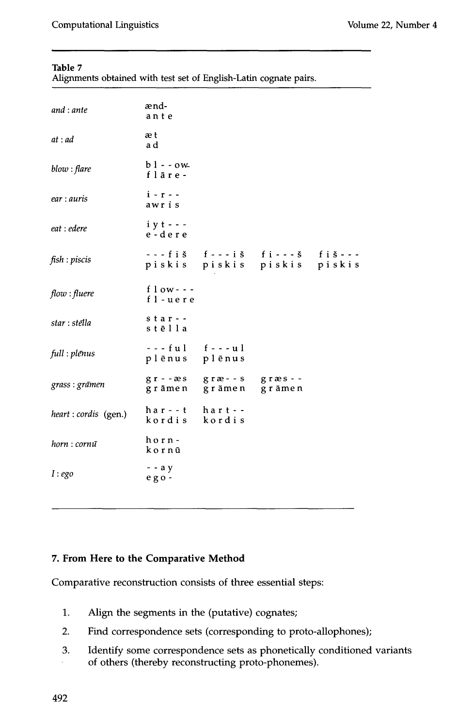| Alignments obtained with test set of English-Latin cognate pairs. |  |  |  |  |
|-------------------------------------------------------------------|--|--|--|--|
|                                                                   |  |  |  |  |

| and : ante            | ænd-<br>ante                     |                                                                                      |  |  |  |  |
|-----------------------|----------------------------------|--------------------------------------------------------------------------------------|--|--|--|--|
| at:ad                 | æt<br>a d                        |                                                                                      |  |  |  |  |
| blow : flare          | $bl - ow$<br>flāre -             |                                                                                      |  |  |  |  |
| ear : auris           | $i - r -$<br>awris               |                                                                                      |  |  |  |  |
| eat : edere           | $i \, y \, t$ - - -<br>e-dere    |                                                                                      |  |  |  |  |
| fish : piscis         |                                  | $---fi \s f --- i \s f --- i \s f i --- s$ $fi \s---$<br>piskis piskis piskis piskis |  |  |  |  |
| flow:fluere           | f $low--$<br>fl-uere             |                                                                                      |  |  |  |  |
| star : stēlla         | $s \tan -$<br>stēlla             |                                                                                      |  |  |  |  |
| full : plēnus         | $--ful$ $f--ul$<br>plēnus plēnus |                                                                                      |  |  |  |  |
| grass : grāmen        |                                  | gr--æs græ--s græs--<br>grāmen grāmen grāmen                                         |  |  |  |  |
| heart : cordis (gen.) | har - - t<br>kordis              | h a r t - -<br>kordis                                                                |  |  |  |  |
| horn : cornu          | horn-<br>kornū                   |                                                                                      |  |  |  |  |
| I:eqo                 | $-$ - $a y$<br>ego-              |                                                                                      |  |  |  |  |

# **7. From Here to the Comparative Method**

Comparative reconstruction consists of three essential steps:

- . Align the segments in the (putative) cognates;
- 2. Find correspondence sets (corresponding to proto-allophones);
- 3. Identify some correspondence sets as phonetically conditioned variants of others (thereby reconstructing proto-phonemes).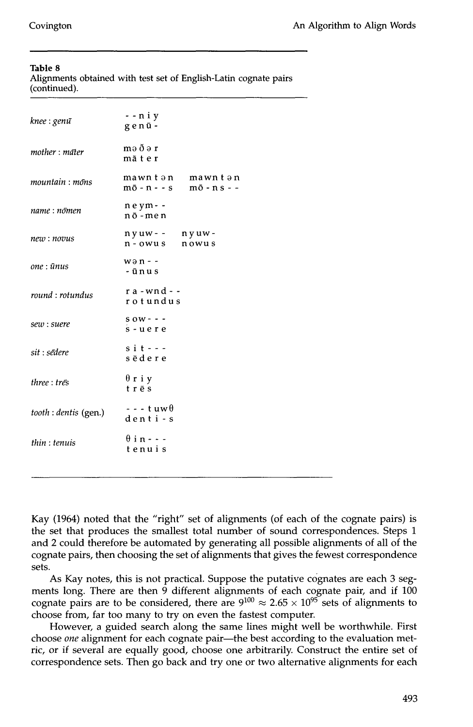Alignments obtained with test set of English-Latin cognate pairs (continued).

| knee : genū           | - - n i y<br>genū-                                         |
|-----------------------|------------------------------------------------------------|
| mother : māter        | məðər<br>māter                                             |
| mountain : mons       | mawntən mawntən<br>$m\bar{o} - n - s$ $m\bar{o} - n s - -$ |
| name : nōmen          | neym--<br>nō-men                                           |
| new: novus            | $nyuw - - nyuw -$<br>$n -$ owus<br>nowus                   |
| one : ūnus            | $w \partial n -$<br>-ūnus                                  |
| round : rotundus      | $ra$ - $wnd$ - -<br>rotundus                               |
| sew : suere           | $s$ ow - - -<br>s-uere                                     |
| sit : sēdere          | $s$ i $t - -$<br>sēdere                                    |
| three : tres          | $\theta$ riy<br>trēs                                       |
| tooth : dentis (gen.) | $- - -$ tuw $\theta$<br>denti-s                            |
| thin:tenuis           | $\theta$ in - - -<br>tenuis                                |
|                       |                                                            |

Kay (1964) noted that the "right" set of alignments (of each of the cognate pairs) is the set that produces the smallest total number of sound correspondences. Steps 1 and 2 could therefore be automated by generating all possible alignments of all of the cognate pairs, then choosing the set of alignments that gives the fewest correspondence sets.

As Kay notes, this is not practical. Suppose the putative cognates are each 3 segments long. There are then 9 different alignments of each cognate pair, and if 100 cognate pairs are to be considered, there are  $9^{100} \approx 2.65 \times 10^{95}$  sets of alignments to choose from, far too many to try on even the fastest computer.

However, a guided search along the same lines might well be worthwhile. First choose *one* alignment for each cognate pair—the best according to the evaluation metric, or if several are equally good, choose one arbitrarily. Construct the entire set of correspondence sets. Then go back and try one or two alternative alignments for each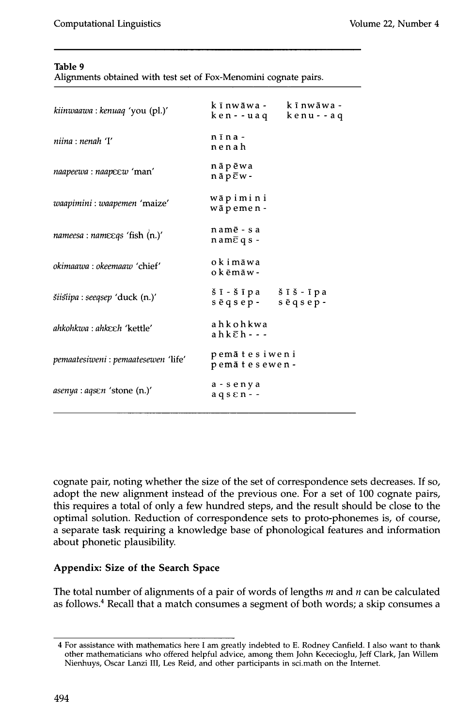Alignments obtained with test set of Fox-Menomini cognate pairs.

| kiinwaawa : kenuaq 'you (pl.)'      | kīnwāwa - kīnwāwa -<br>ken--uaq kenu--aq                                                                                                                             |  |
|-------------------------------------|----------------------------------------------------------------------------------------------------------------------------------------------------------------------|--|
| niina : nenah 'I'                   | $n\bar{i}$ n a -<br>nenah                                                                                                                                            |  |
| naapeewa : naapeew 'man'            | nāpēwa<br>$n \bar{a} p \bar{e} w$ -                                                                                                                                  |  |
| waapimini : waapemen 'maize'        | wāpimini<br>wāpemen -                                                                                                                                                |  |
| nameesa : nameegs 'fish (n.)'       | namē - sa<br>$n$ am $\bar{\epsilon}$ q s -                                                                                                                           |  |
| <i>okimaawa : okeemaaw 'chief'</i>  | okimāwa<br>okēmāw-                                                                                                                                                   |  |
| šiišiipa : seeqsep 'duck (n.)'      | $\check{\mathbf{s}}$ $\mathbf{I}$ - $\check{\mathbf{s}}$ $\mathbf{I}$ pa $\check{\mathbf{s}}$ $\mathbf{I}$ $\check{\mathbf{s}}$ - $\mathbf{I}$ pa<br>sēqsep- sēqsep- |  |
| ahkohkwa : ahkeeh 'kettle'          | ahkohkwa<br>$ahk\bar{e}h$ ---                                                                                                                                        |  |
| pemaatesiweni : pemaatesewen 'life' | pemātesiweni<br>pemātesewen-                                                                                                                                         |  |
| <i>asenya : aqsen 'stone (n.)'</i>  | a - senya<br>$a q s \epsilon n -$                                                                                                                                    |  |

cognate pair, noting whether the size of the set of correspondence sets decreases. If so, adopt the new alignment instead of the previous one. For a set of 100 cognate pairs, this requires a total of only a few hundred steps, and the result should be close to the optimal solution. Reduction of correspondence sets to proto-phonemes is, of course, a separate task requiring a knowledge base of phonological features and information about phonetic plausibility.

# **Appendix: Size of the Search Space**

The total number of alignments of a pair of words of lengths  $m$  and  $n$  can be calculated as follows. 4 Recall that a match consumes a segment of both words; a skip consumes a

<sup>4</sup> For assistance with mathematics here I am greatly indebted to E. Rodney Canfield. I also want to thank other mathematicians who offered helpful advice, among them John Kececioglu, Jeff Clark, Jan Willem Nienhuys, Oscar Lanzi III, Les Reid, and other participants in sci.math on the Internet.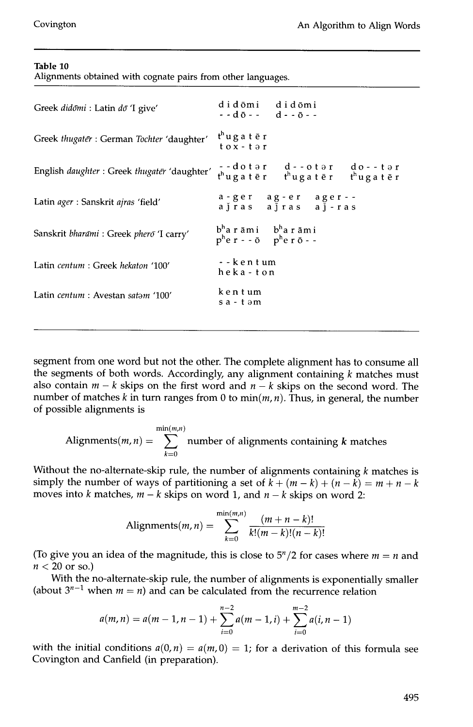Alignments obtained with cognate pairs from other languages.

| Greek didomi : Latin do 'I give'                           | didōmi didōmi<br>$-d\bar{0}$ - - d - - $\bar{0}$ - -                              |                                                                                              |
|------------------------------------------------------------|-----------------------------------------------------------------------------------|----------------------------------------------------------------------------------------------|
| Greek thugater : German Tochter 'daughter'                 | t <sup>h</sup> ugatēr<br>$\frac{1}{2}$                                            |                                                                                              |
| English <i>daughter</i> : Greek <i>thugater</i> 'daughter' |                                                                                   | --dotər d--otər do--tər<br>t <sup>h</sup> ugatēr t <sup>h</sup> ugatēr t <sup>h</sup> ugatēr |
| Latin ager : Sanskrit ajras 'field'                        |                                                                                   | a-ger ag-er ager--<br>ajras ajras aj-ras                                                     |
| Sanskrit bharāmi : Greek pherō 'I carry'                   | $bh$ arāmi $bh$ arāmi<br>$p^h$ e r - - $\bar{o}$ p <sup>h</sup> e r $\bar{o}$ - - |                                                                                              |
| Latin centum: Greek hekaton '100'                          | --kentum<br>heka-ton                                                              |                                                                                              |
| Latin centum : Avestan satam '100'                         | kentum<br>sa-təm                                                                  |                                                                                              |
|                                                            |                                                                                   |                                                                                              |

segment from one word but not the other. The complete alignment has to consume all the segments of both words. Accordingly, any alignment containing  $k$  matches must also contain  $m - k$  skips on the first word and  $n - k$  skips on the second word. The number of matches k in turn ranges from 0 to  $min(m, n)$ . Thus, in general, the number of possible alignments is

Alignments(*m*, *n*) = 
$$
\sum_{k=0}^{\min(m,n)}
$$
 number of alignments containing *k* matches

Without the no-alternate-skip rule, the number of alignments containing  $k$  matches is simply the number of ways of partitioning a set of  $\ddot{k} + (m - \ddot{k}) + (n - \ddot{k}) = m + n - \ddot{k}$ moves into k matches,  $m - k$  skips on word 1, and  $n - k$  skips on word 2:

Alignments
$$
(m, n)
$$
 = 
$$
\sum_{k=0}^{\min(m,n)} \frac{(m+n-k)!}{k!(m-k)!(n-k)!}
$$

(To give you an idea of the magnitude, this is close to  $5<sup>n</sup>/2$  for cases where  $m = n$  and  $n < 20$  or so.)

With the no-alternate-skip rule, the number of alignments is exponentially smaller (about  $3^{n-1}$  when  $m = n$ ) and can be calculated from the recurrence relation

$$
a(m,n) = a(m-1,n-1) + \sum_{i=0}^{n-2} a(m-1,i) + \sum_{i=0}^{m-2} a(i,n-1)
$$

with the initial conditions  $a(0, n) = a(m, 0) = 1$ ; for a derivation of this formula see Covington and Canfield (in preparation).